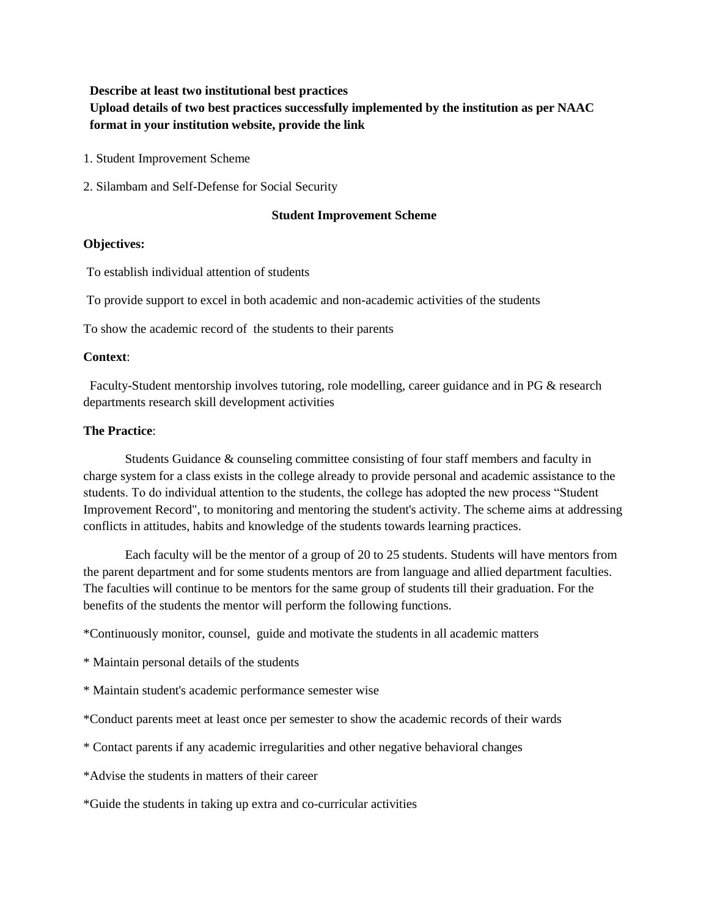#### **Describe at least two institutional best practices**

**Upload details of two best practices successfully implemented by the institution as per NAAC format in your institution website, provide the link**

- 1. Student Improvement Scheme
- 2. Silambam and Self-Defense for Social Security

## **Student Improvement Scheme**

## **Objectives:**

To establish individual attention of students

To provide support to excel in both academic and non-academic activities of the students

To show the academic record of the students to their parents

### **Context**:

 Faculty-Student mentorship involves tutoring, role modelling, career guidance and in PG & research departments research skill development activities

## **The Practice**:

Students Guidance & counseling committee consisting of four staff members and faculty in charge system for a class exists in the college already to provide personal and academic assistance to the students. To do individual attention to the students, the college has adopted the new process "Student Improvement Record", to monitoring and mentoring the student's activity. The scheme aims at addressing conflicts in attitudes, habits and knowledge of the students towards learning practices.

Each faculty will be the mentor of a group of 20 to 25 students. Students will have mentors from the parent department and for some students mentors are from language and allied department faculties. The faculties will continue to be mentors for the same group of students till their graduation. For the benefits of the students the mentor will perform the following functions.

\*Continuously monitor, counsel, guide and motivate the students in all academic matters

- \* Maintain personal details of the students
- \* Maintain student's academic performance semester wise
- \*Conduct parents meet at least once per semester to show the academic records of their wards
- \* Contact parents if any academic irregularities and other negative behavioral changes
- \*Advise the students in matters of their career

\*Guide the students in taking up extra and co-curricular activities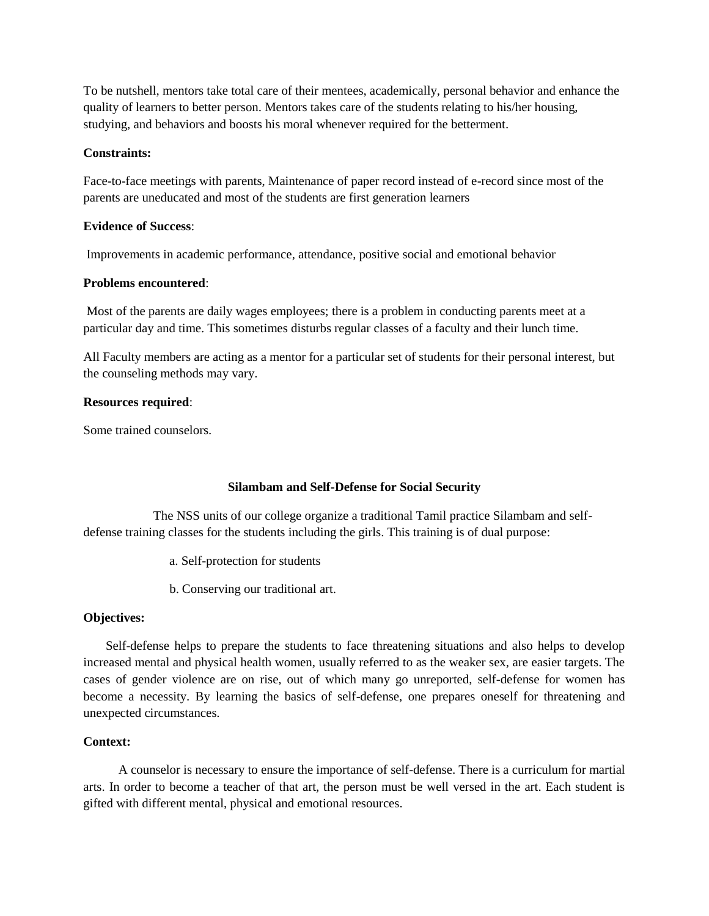To be nutshell, mentors take total care of their mentees, academically, personal behavior and enhance the quality of learners to better person. Mentors takes care of the students relating to his/her housing, studying, and behaviors and boosts his moral whenever required for the betterment.

## **Constraints:**

Face-to-face meetings with parents, Maintenance of paper record instead of e-record since most of the parents are uneducated and most of the students are first generation learners

## **Evidence of Success**:

Improvements in academic performance, attendance, positive social and emotional behavior

## **Problems encountered**:

Most of the parents are daily wages employees; there is a problem in conducting parents meet at a particular day and time. This sometimes disturbs regular classes of a faculty and their lunch time.

All Faculty members are acting as a mentor for a particular set of students for their personal interest, but the counseling methods may vary.

### **Resources required**:

Some trained counselors.

## **Silambam and Self-Defense for Social Security**

 The NSS units of our college organize a traditional Tamil practice Silambam and selfdefense training classes for the students including the girls. This training is of dual purpose:

- a. Self-protection for students
- b. Conserving our traditional art.

## **Objectives:**

 Self-defense helps to prepare the students to face threatening situations and also helps to develop increased mental and physical health women, usually referred to as the weaker sex, are easier targets. The cases of gender violence are on rise, out of which many go unreported, self-defense for women has become a necessity. By learning the basics of self-defense, one prepares oneself for threatening and unexpected circumstances.

## **Context:**

 A counselor is necessary to ensure the importance of self-defense. There is a curriculum for martial arts. In order to become a teacher of that art, the person must be well versed in the art. Each student is gifted with different mental, physical and emotional resources.